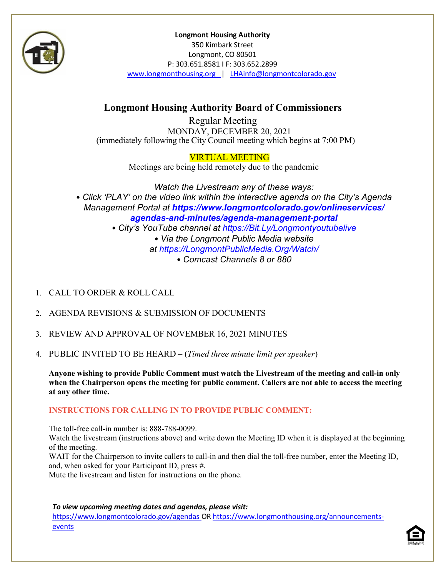

**Longmont Housing Authority** 350 Kimbark Street Longmont, CO 80501 P: 303.651.8581 I F: 303.652.2899 [www.longmonthousing.org](http://www.longmonthousing.org/) | [LHAinfo@longmontcolorado.gov](mailto:LHAinfo@longmontcolorado.gov)

# **Longmont Housing Authority Board of Commissioners**

Regular Meeting MONDAY, DECEMBER 20, 2021 (immediately following the City Council meeting which begins at 7:00 PM)

### VIRTUAL MEETING

Meetings are being held remotely due to the pandemic

*Watch the Livestream any of these ways:* • *Click 'PLAY' on the video link within the interactive agenda on the City's Agenda Management Portal at https://www.longmontcolorado.gov/onlineservices/ agendas-and-minutes/agenda-management-portal* • *City's YouTube channel at https://Bit.Ly/Longmontyoutubelive* • *Via the Longmont Public Media website at https://LongmontPublicMedia.Org/Watch/* • *Comcast Channels 8 or 880*

- 1. CALL TO ORDER & ROLL CALL
- 2. AGENDA REVISIONS & SUBMISSION OF DOCUMENTS
- 3. REVIEW AND APPROVAL OF NOVEMBER 16, 2021 MINUTES
- 4. PUBLIC INVITED TO BE HEARD (*Timed three minute limit perspeaker*)

**Anyone wishing to provide Public Comment must watch the Livestream of the meeting and call-in only when the Chairperson opens the meeting for public comment. Callers are not able to access the meeting at any other time.**

### **INSTRUCTIONS FOR CALLING IN TO PROVIDE PUBLIC COMMENT:**

The toll-free call-in number is: 888-788-0099.

Watch the livestream (instructions above) and write down the Meeting ID when it is displayed at the beginning of the meeting.

WAIT for the Chairperson to invite callers to call-in and then dial the toll-free number, enter the Meeting ID, and, when asked for your Participant ID, press #.

Mute the livestream and listen for instructions on the phone.

*To view upcoming meeting dates and agendas, please visit:*

<https://www.longmontcolorado.gov/agendas> OR [https://www.longmonthousing.org/announcements](https://www.longmonthousing.org/announcements-events)[events](https://www.longmonthousing.org/announcements-events)